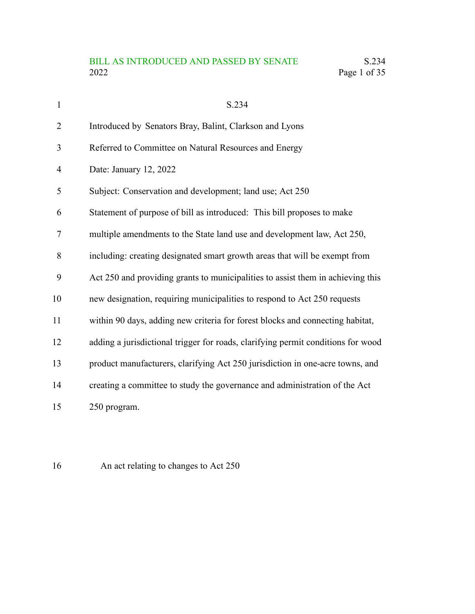# BILL AS INTRODUCED AND PASSED BY SENATE S.234<br>2022 Page 1 of 35 Page 1 of 35

| $\mathbf{1}$   | S.234                                                                            |
|----------------|----------------------------------------------------------------------------------|
| $\overline{2}$ | Introduced by Senators Bray, Balint, Clarkson and Lyons                          |
| 3              | Referred to Committee on Natural Resources and Energy                            |
| 4              | Date: January 12, 2022                                                           |
| 5              | Subject: Conservation and development; land use; Act 250                         |
| 6              | Statement of purpose of bill as introduced: This bill proposes to make           |
| 7              | multiple amendments to the State land use and development law, Act 250,          |
| 8              | including: creating designated smart growth areas that will be exempt from       |
| 9              | Act 250 and providing grants to municipalities to assist them in achieving this  |
| 10             | new designation, requiring municipalities to respond to Act 250 requests         |
| 11             | within 90 days, adding new criteria for forest blocks and connecting habitat,    |
| 12             | adding a jurisdictional trigger for roads, clarifying permit conditions for wood |
| 13             | product manufacturers, clarifying Act 250 jurisdiction in one-acre towns, and    |
| 14             | creating a committee to study the governance and administration of the Act       |
| 15             | 250 program.                                                                     |

An act relating to changes to Act 250 16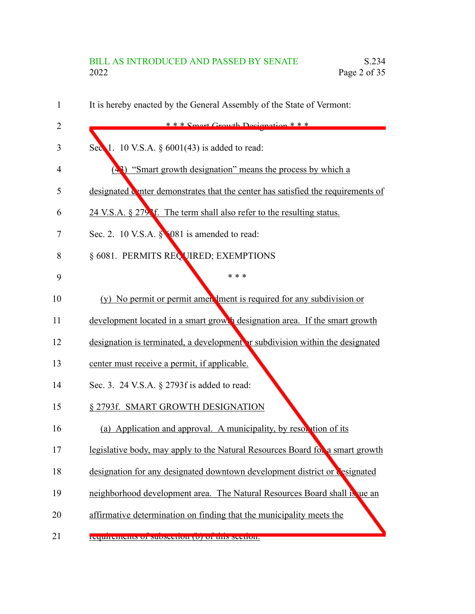# BILL AS INTRODUCED AND PASSED BY SENATE S.234<br>2022 Page 2 of 35 Page 2 of 35

| 1              | It is hereby enacted by the General Assembly of the State of Vermont:                     |
|----------------|-------------------------------------------------------------------------------------------|
| $\overline{2}$ | $***$ Smart Grawth Decianation $***$                                                      |
| 3              | Sec $\lambda$ 1. 10 V.S.A. § 6001(43) is added to read:                                   |
| $\overline{4}$ | "Smart growth designation" means the process by which a                                   |
| 5              | designated where demonstrates that the center has satisfied the requirements of           |
| 6              | 24 V.S.A. § 279 <sup><i>S</i></sup> f. The term shall also refer to the resulting status. |
| 7              | Sec. 2. 10 V.S.A. § 081 is amended to read:                                               |
| 8              | § 6081. PERMITS REQUIRED; EXEMPTIONS                                                      |
| 9              | * * *                                                                                     |
| 10             | (y) No permit or permit amen ment is required for any subdivision or                      |
| 11             | development located in a smart growth designation area. If the smart growth               |
| 12             | designation is terminated, a development or subdivision within the designated             |
| 13             | center must receive a permit, if applicable.                                              |
| 14             | Sec. 3. 24 V.S.A. § 2793f is added to read:                                               |
| 15             | § 2793f. SMART GROWTH DESIGNATION                                                         |
| 16             | (a) Application and approval. A municipality, by resolution of its                        |
| 17             | legislative body, may apply to the Natural Resources Board for a smart growth             |
| 18             | designation for any designated downtown development district or designated                |
| 19             | neighborhood development area. The Natural Resources Board shall is ue an                 |
| 20             | affirmative determination on finding that the municipality meets the                      |
| 21             | requirements or subsection (b) or this section.                                           |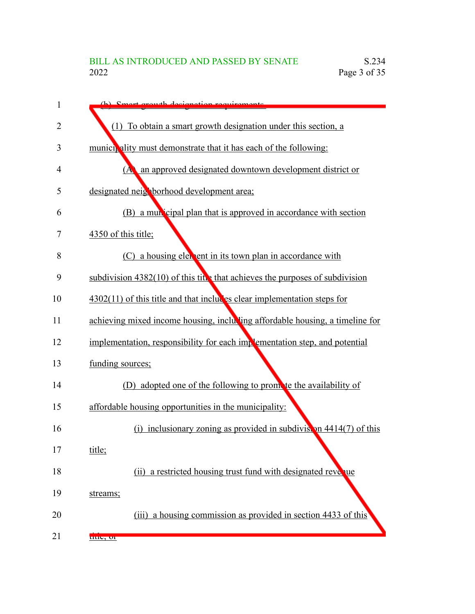| 1  | (b) Smort growth decignation requirements                                      |
|----|--------------------------------------------------------------------------------|
| 2  | (1) To obtain a smart growth designation under this section, a                 |
| 3  | munici, ality must demonstrate that it has each of the following:              |
| 4  | an approved designated downtown development district or<br>(A)                 |
| 5  | designated neighborhood development area;                                      |
| 6  | (B) a mun cipal plan that is approved in accordance with section               |
| 7  | 4350 of this title;                                                            |
| 8  | (C) a housing element in its town plan in accordance with                      |
| 9  | subdivision $4382(10)$ of this title that achieves the purposes of subdivision |
| 10 | $4302(11)$ of this title and that includes clear implementation steps for      |
| 11 | achieving mixed income housing, including affordable housing, a timeline for   |
| 12 | implementation, responsibility for each implementation step, and potential     |
| 13 | funding sources;                                                               |
| 14 | (D) adopted one of the following to promote the availability of                |
| 15 | affordable housing opportunities in the municipality:                          |
| 16 | inclusionary zoning as provided in subdivision $4414(7)$ of this<br>(i)        |
| 17 | title;                                                                         |
| 18 | (ii) a restricted housing trust fund with designated revelue                   |
| 19 | streams;                                                                       |
| 20 | (iii) a housing commission as provided in section 4433 of this                 |
| 21 | uuc, or                                                                        |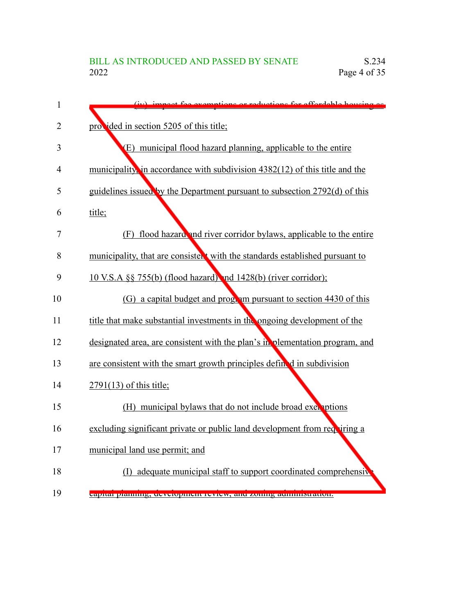| $\mathbf{1}$   | (iv) impact fee exemptions or reductions for effectable housing as            |
|----------------|-------------------------------------------------------------------------------|
| 2              | provided in section 5205 of this title;                                       |
| 3              | (E) municipal flood hazard planning, applicable to the entire                 |
| $\overline{4}$ | municipality, in accordance with subdivision $4382(12)$ of this title and the |
| 5              | guidelines issued by the Department pursuant to subsection 2792(d) of this    |
| 6              | title;                                                                        |
| 7              | (F) flood hazard and river corridor bylaws, applicable to the entire          |
| 8              | municipality, that are consistent with the standards established pursuant to  |
| 9              | 10 V.S.A §§ 755(b) (flood hazard) and 1428(b) (river corridor);               |
| 10             | (G) a capital budget and program pursuant to section 4430 of this             |
| 11             | title that make substantial investments in the ongoing development of the     |
| 12             | designated area, are consistent with the plan's in plementation program, and  |
| 13             | are consistent with the smart growth principles defined in subdivision        |
| 14             | 2791(13) of this title;                                                       |
| 15             | (H) municipal bylaws that do not include broad exerptions                     |
| 16             | excluding significant private or public land development from requiring a     |
| 17             | municipal land use permit; and                                                |
| 18             | (I) adequate municipal staff to support coordinated comprehensive             |
| 19             | <u>сариаг ріаннинg, асусторінені геутем, ана zонніў ааннінытацоп.</u>         |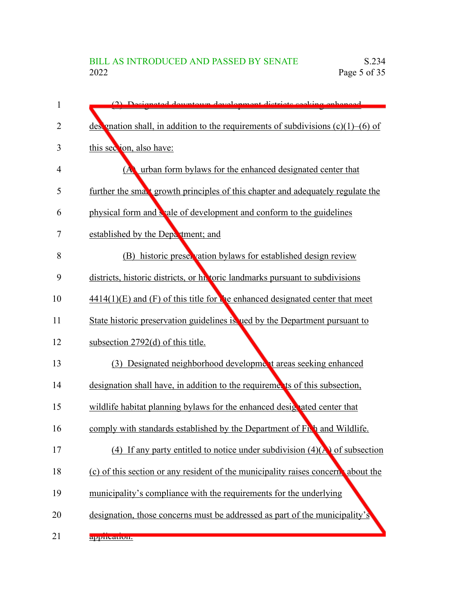| 1  | (2) Decignated downtown development districts seeking enhanced                        |
|----|---------------------------------------------------------------------------------------|
| 2  | designation shall, in addition to the requirements of subdivisions $(c)(1)$ –(6) of   |
| 3  | this section, also have:                                                              |
| 4  | urban form bylaws for the enhanced designated center that<br>(A)                      |
| 5  | further the small growth principles of this chapter and adequately regulate the       |
| 6  | physical form and seale of development and conform to the guidelines                  |
| 7  | established by the Department; and                                                    |
| 8  | (B) historic preservation bylaws for established design review                        |
| 9  | districts, historic districts, or historic landmarks pursuant to subdivisions         |
| 10 | $4414(1)(E)$ and (F) of this title for the enhanced designated center that meet       |
| 11 | State historic preservation guidelines is used by the Department pursuant to          |
| 12 | subsection $2792(d)$ of this title.                                                   |
| 13 | (3) Designated neighborhood development areas seeking enhanced                        |
| 14 | designation shall have, in addition to the requirements of this subsection,           |
| 15 | wildlife habitat planning bylaws for the enhanced designated center that              |
| 16 | comply with standards established by the Department of Fight and Wildlife.            |
| 17 | (4) If any party entitled to notice under subdivision $(4)(\mathbf{A})$ of subsection |
| 18 | (c) of this section or any resident of the municipality raises concern, about the     |
| 19 | municipality's compliance with the requirements for the underlying                    |
| 20 | designation, those concerns must be addressed as part of the municipality's           |
| 21 | application.                                                                          |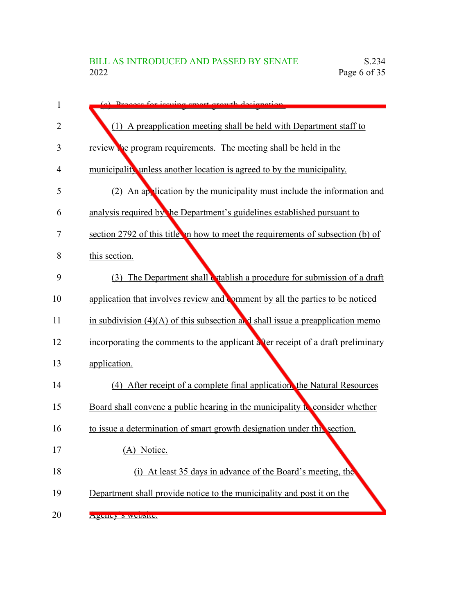| 1              | (a) Dragoss for issuing smort growth designation                                 |
|----------------|----------------------------------------------------------------------------------|
| 2              | (1) A preapplication meeting shall be held with Department staff to              |
| 3              | review the program requirements. The meeting shall be held in the                |
| $\overline{4}$ | municipality unless another location is agreed to by the municipality.           |
| 5              | (2) An application by the municipality must include the information and          |
| 6              | analysis required by the Department's guidelines established pursuant to         |
| 7              | section 2792 of this title in how to meet the requirements of subsection (b) of  |
| 8              | this section.                                                                    |
| 9              | (3) The Department shall establish a procedure for submission of a draft         |
| 10             | application that involves review and comment by all the parties to be noticed    |
| 11             | in subdivision $(4)(A)$ of this subsection and shall issue a preapplication memo |
| 12             | incorporating the comments to the applicant after receipt of a draft preliminary |
| 13             | application.                                                                     |
| 14             | (4) After receipt of a complete final application, the Natural Resources         |
| 15             | Board shall convene a public hearing in the municipality to consider whether     |
| 16             | to issue a determination of smart growth designation under this section.         |
| 17             | (A) Notice.                                                                      |
| 18             | (i) At least 35 days in advance of the Board's meeting, the                      |
| 19             | Department shall provide notice to the municipality and post it on the           |
| 20             | Agency S website.                                                                |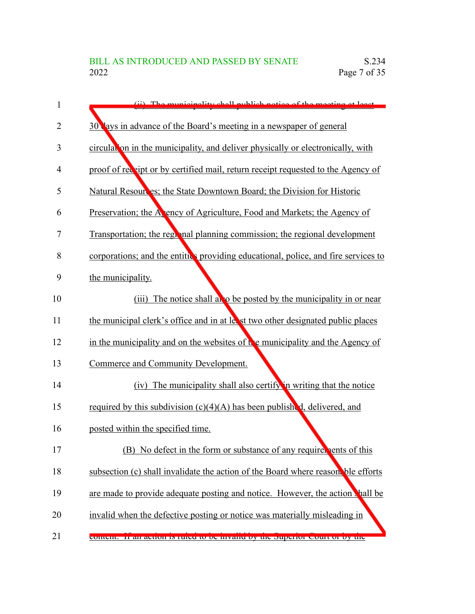| 1  | (ii) The municipality shall publish notice of the meeting at least.                |
|----|------------------------------------------------------------------------------------|
| 2  | 30 lays in advance of the Board's meeting in a newspaper of general                |
| 3  | circulation in the municipality, and deliver physically or electronically, with    |
| 4  | proof of receipt or by certified mail, return receipt requested to the Agency of   |
| 5  | Natural Resources; the State Downtown Board; the Division for Historic             |
| 6  | Preservation; the A ency of Agriculture, Food and Markets; the Agency of           |
| 7  | Transportation; the regional planning commission; the regional development         |
| 8  | corporations; and the entities providing educational, police, and fire services to |
| 9  | the municipality.                                                                  |
| 10 | (iii) The notice shall also be posted by the municipality in or near               |
| 11 | the municipal clerk's office and in at less t two other designated public places   |
| 12 | in the municipality and on the websites of the municipality and the Agency of      |
| 13 | Commerce and Community Development.                                                |
| 14 | (iv) The municipality shall also certify in writing that the notice                |
| 15 | required by this subdivision $(c)(4)(A)$ has been published, delivered, and        |
| 16 | posted within the specified time.                                                  |
| 17 | (B) No defect in the form or substance of any require, tents of this               |
| 18 | subsection (c) shall invalidate the action of the Board where reason. ble efforts  |
| 19 | are made to provide adequate posting and notice. However, the action shall be      |
| 20 | invalid when the defective posting or notice was materially misleading in          |
| 21 | content. It all action is ruled to be invante by the superior court or by the      |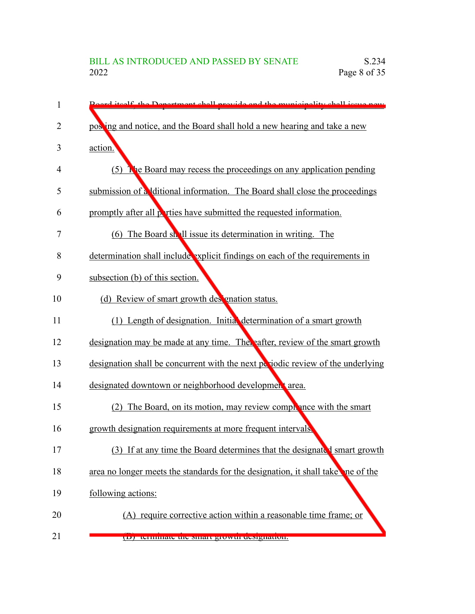| 1              | Board itself, the Department shall provide and the municipality shall issue now |
|----------------|---------------------------------------------------------------------------------|
| $\overline{2}$ | posing and notice, and the Board shall hold a new hearing and take a new        |
| 3              | action.                                                                         |
| 4              | (5) The Board may recess the proceedings on any application pending             |
| 5              | submission of a ditional information. The Board shall close the proceedings     |
| 6              | promptly after all perties have submitted the requested information.            |
| 7              | (6) The Board shall issue its determination in writing. The                     |
| 8              | determination shall include explicit findings on each of the requirements in    |
| 9              | subsection (b) of this section.                                                 |
| 10             | (d) Review of smart growth des gnation status.                                  |
| 11             | (1) Length of designation. Initial determination of a smart growth              |
| 12             | designation may be made at any time. Thereafter, review of the smart growth     |
| 13             | designation shall be concurrent with the next periodic review of the underlying |
| 14             | designated downtown or neighborhood development area.                           |
| 15             | (2) The Board, on its motion, may review complement with the smart              |
| 16             | growth designation requirements at more frequent intervals.                     |
| 17             | (3) If at any time the Board determines that the designated smart growth        |
| 18             | area no longer meets the standards for the designation, it shall take ne of the |
| 19             | following actions:                                                              |
| 20             | (A) require corrective action within a reasonable time frame; or                |
| 21             | (D) terminate the sinart growth designation.                                    |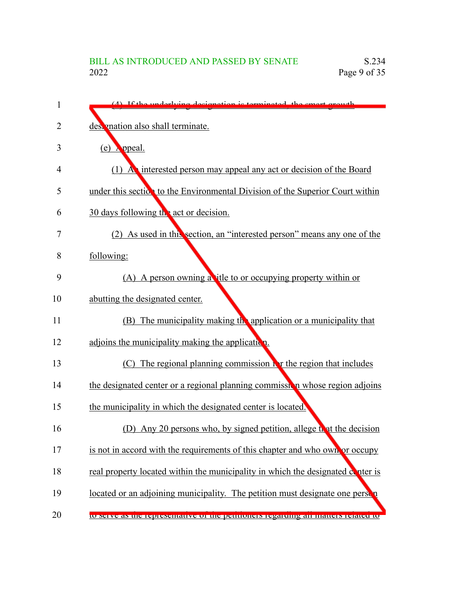| 1  | (A) If the underlying decignation is terminated the smart growth                  |
|----|-----------------------------------------------------------------------------------|
| 2  | des mation also shall terminate.                                                  |
| 3  | $(e)$ opeal.                                                                      |
| 4  | (1) A interested person may appeal any act or decision of the Board               |
| 5  | under this section to the Environmental Division of the Superior Court within     |
| 6  | 30 days following the act or decision.                                            |
| 7  | (2) As used in this section, an "interested person" means any one of the          |
| 8  | following:                                                                        |
| 9  | (A) A person owning a title to or occupying property within or                    |
| 10 | abutting the designated center.                                                   |
| 11 | (B) The municipality making the application or a municipality that                |
| 12 | adjoins the municipality making the application.                                  |
| 13 | (C) The regional planning commission in the region that includes                  |
| 14 | the designated center or a regional planning commission whose region adjoins      |
| 15 | the municipality in which the designated center is located.                       |
| 16 | (D) Any 20 persons who, by signed petition, allege that the decision              |
| 17 | is not in accord with the requirements of this chapter and who own or occupy      |
| 18 | real property located within the municipality in which the designated conter is   |
| 19 | located or an adjoining municipality. The petition must designate one person      |
| 20 | to serve as the representative of the petitioners regarding an matters related to |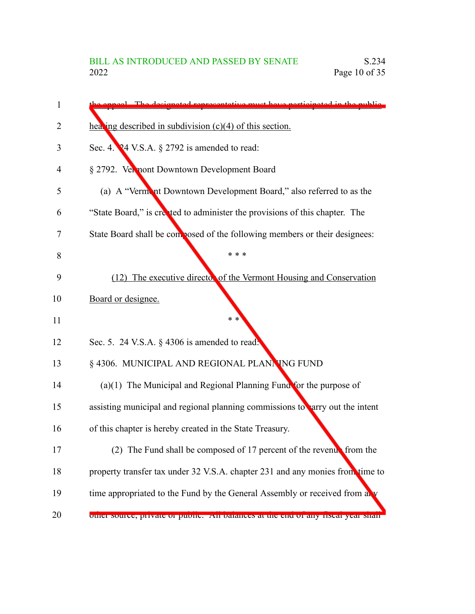| 1  | enneed. The decimated representative must have perticipated in the public          |
|----|------------------------------------------------------------------------------------|
| 2  | healing described in subdivision $(c)(4)$ of this section.                         |
| 3  | Sec. 4. $24$ V.S.A. $\S$ 2792 is amended to read:                                  |
| 4  | § 2792. Vermont Downtown Development Board                                         |
| 5  | (a) A "Vermont Downtown Development Board," also referred to as the                |
| 6  | "State Board," is created to administer the provisions of this chapter. The        |
| 7  | State Board shall be composed of the following members or their designees:         |
| 8  | * * *                                                                              |
| 9  | (12) The executive director of the Vermont Housing and Conservation                |
| 10 | Board or designee.                                                                 |
| 11 | $* *$                                                                              |
| 12 | Sec. 5. 24 V.S.A. § 4306 is amended to read.                                       |
| 13 | § 4306. MUNICIPAL AND REGIONAL PLANNING FUND                                       |
| 14 | $(a)(1)$ The Municipal and Regional Planning Fund for the purpose of               |
| 15 | assisting municipal and regional planning commissions to parry out the intent      |
| 16 | of this chapter is hereby created in the State Treasury.                           |
| 17 | (2) The Fund shall be composed of 17 percent of the revenual from the              |
| 18 | property transfer tax under 32 V.S.A. chapter 231 and any monies from time to      |
| 19 | time appropriated to the Fund by the General Assembly or received from any         |
| 20 | ottici source, private of public. All balances at the end of any fiscal year shall |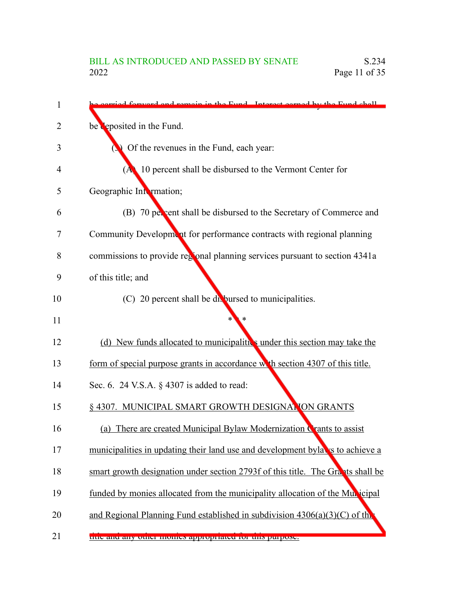| 1  | corried forward and remain in the Eund. Interest carned by the Eund shall       |
|----|---------------------------------------------------------------------------------|
| 2  | be deposited in the Fund.                                                       |
| 3  | Of the revenues in the Fund, each year:                                         |
| 4  | (A) 10 percent shall be disbursed to the Vermont Center for                     |
| 5  | Geographic Intermation;                                                         |
| 6  | (B) 70 per cent shall be disbursed to the Secretary of Commerce and             |
| 7  | Community Development for performance contracts with regional planning          |
| 8  | commissions to provide regional planning services pursuant to section 4341a     |
| 9  | of this title; and                                                              |
| 10 | (C) 20 percent shall be divolursed to municipalities.                           |
| 11 |                                                                                 |
| 12 | (d) New funds allocated to municipalities under this section may take the       |
| 13 | form of special purpose grants in accordance with section 4307 of this title.   |
| 14 | Sec. 6. 24 V.S.A. § 4307 is added to read:                                      |
| 15 | § 4307. MUNICIPAL SMART GROWTH DESIGNATION GRANTS                               |
| 16 | (a) There are created Municipal Bylaw Modernization Crants to assist            |
| 17 | municipalities in updating their land use and development byla is to achieve a  |
| 18 | smart growth designation under section 2793f of this title. The Grants shall be |
| 19 | funded by monies allocated from the municipality allocation of the Municipal    |
| 20 | and Regional Planning Fund established in subdivision $4306(a)(3)(C)$ of the    |
| 21 | title and any other momes appropriated for this purpose.                        |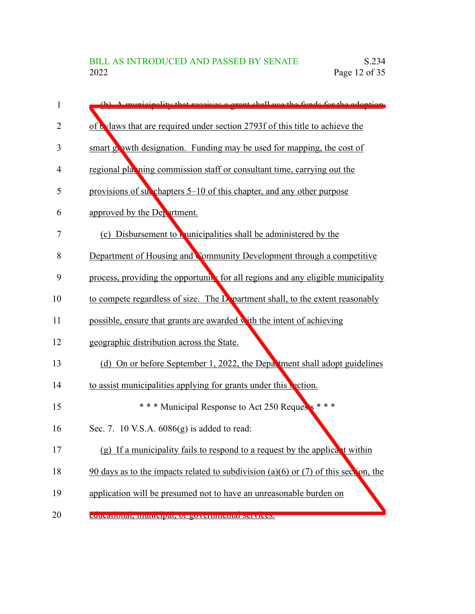| 1              | (b) A municipality that receives a grant shall use the funds for the adoption         |
|----------------|---------------------------------------------------------------------------------------|
| $\overline{2}$ | of t vlaws that are required under section 2793f of this title to achieve the         |
| 3              | smart growth designation. Funding may be used for mapping, the cost of                |
| 4              | regional playing commission staff or consultant time, carrying out the                |
| 5              | provisions of subsequently chapters 5–10 of this chapter, and any other purpose       |
| 6              | approved by the Department.                                                           |
| 7              | (c) Disbursement to <b>r</b> unicipalities shall be administered by the               |
| 8              | Department of Housing and Community Development through a competitive                 |
| 9              | process, providing the opportunity for all regions and any eligible municipality      |
| 10             | to compete regardless of size. The D partment shall, to the extent reasonably         |
| 11             | possible, ensure that grants are awarded with the intent of achieving                 |
| 12             | geographic distribution across the State.                                             |
| 13             | (d) On or before September 1, 2022, the Department shall adopt guidelines             |
| 14             | to assist municipalities applying for grants under this section.                      |
| 15             | *** Municipal Response to Act 250 Requests ***                                        |
| 16             | Sec. 7. 10 V.S.A. 6086(g) is added to read:                                           |
| 17             | (g) If a municipality fails to respond to a request by the applicant within           |
| 18             | $90$ days as to the impacts related to subdivision (a)(6) or (7) of this section, the |
| 19             | application will be presumed not to have an unreasonable burden on                    |
| 20             | cuucanonar, mumeipar, or governmentar services.                                       |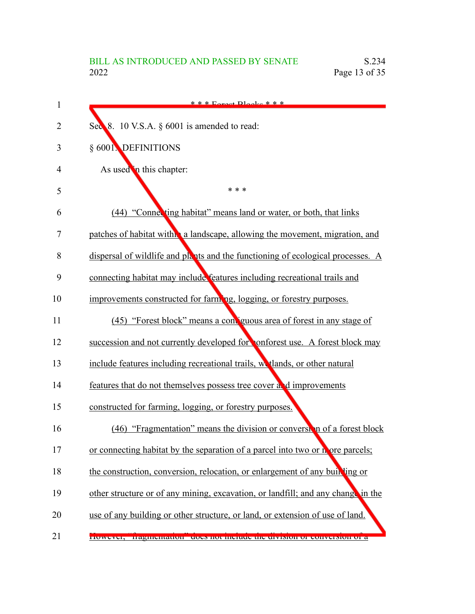| 1              | $* * *$ Forgot Placks * * *                                                      |
|----------------|----------------------------------------------------------------------------------|
| $\overline{2}$ | Sec 8. 10 V.S.A. § 6001 is amended to read:                                      |
| 3              | § 6001. DEFINITIONS                                                              |
| 4              | As used in this chapter:                                                         |
| 5              | * * *                                                                            |
| 6              | (44) "Connecting habitat" means land or water, or both, that links               |
| 7              | patches of habitat with a landscape, allowing the movement, migration, and       |
| 8              | dispersal of wildlife and plants and the functioning of ecological processes. A  |
| 9              | connecting habitat may include features including recreational trails and        |
| 10             | improvements constructed for farming, logging, or forestry purposes.             |
| 11             | (45) "Forest block" means a contiguous area of forest in any stage of            |
| 12             | succession and not currently developed for conforest use. A forest block may     |
| 13             | include features including recreational trails, we tlands, or other natural      |
| 14             | features that do not themselves possess tree cover a d improvements              |
| 15             | constructed for farming, logging, or forestry purposes.                          |
| 16             | (46) "Fragmentation" means the division or conversion of a forest block          |
| 17             | or connecting habitat by the separation of a parcel into two or nore parcels;    |
| 18             | the construction, conversion, relocation, or enlargement of any building or      |
| 19             | other structure or of any mining, excavation, or landfill; and any change in the |
| 20             | use of any building or other structure, or land, or extension of use of land.    |
| 21             | TIOWEVER, Traginemanon ques normenade die división of conversión or a            |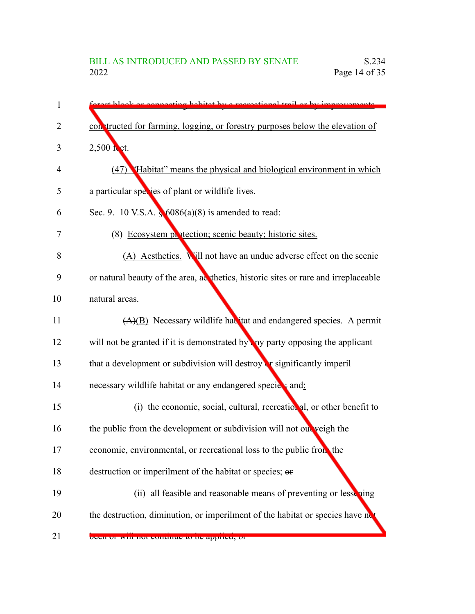| 1              | exact blook or connecting behitet by a recreational trail or by improvements       |
|----------------|------------------------------------------------------------------------------------|
| 2              | con tructed for farming, logging, or forestry purposes below the elevation of      |
| 3              | 2,500 fet.                                                                         |
| $\overline{4}$ | (47) Habitat" means the physical and biological environment in which               |
| 5              | a particular species of plant or wildlife lives.                                   |
| 6              | Sec. 9. 10 V.S.A. $\sqrt[6]{6086(a)(8)}$ is amended to read:                       |
| 7              | (8) Ecosystem protection; scenic beauty; historic sites.                           |
| 8              | (A) Aesthetics. Will not have an undue adverse effect on the scenic                |
| 9              | or natural beauty of the area, acthetics, historic sites or rare and irreplaceable |
| 10             | natural areas.                                                                     |
| 11             | $(A)(B)$ Necessary wildlife havitat and endangered species. A permit               |
| 12             | will not be granted if it is demonstrated by any party opposing the applicant      |
| 13             | that a development or subdivision will destroy or significantly imperil            |
| 14             | necessary wildlife habitat or any endangered speciet and:                          |
| 15             | (i) the economic, social, cultural, recreational, or other benefit to              |
| 16             | the public from the development or subdivision will not out veigh the              |
| 17             | economic, environmental, or recreational loss to the public from the               |
| 18             | destruction or imperilment of the habitat or species; or                           |
| 19             | (ii) all feasible and reasonable means of preventing or lessening                  |
| 20             | the destruction, diminution, or imperilment of the habitat or species have no      |
| 21             | been or win not commue to be applied, or                                           |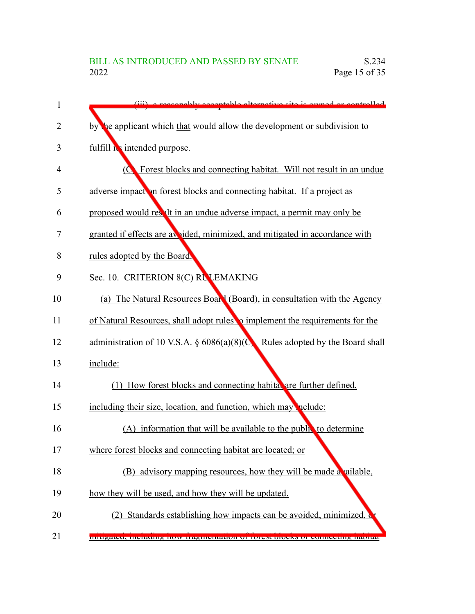| 1              | (iii) a reasonably acceptable elternative site is owned ar controlled                       |
|----------------|---------------------------------------------------------------------------------------------|
| $\overline{2}$ | by the applicant which that would allow the development or subdivision to                   |
| 3              | fulfill is intended purpose.                                                                |
| 4              | Forest blocks and connecting habitat. Will not result in an undue<br>$\overline{Q}$         |
| 5              | adverse impact on forest blocks and connecting habitat. If a project as                     |
| 6              | proposed would result in an undue adverse impact, a permit may only be                      |
| 7              | granted if effects are avvided, minimized, and mitigated in accordance with                 |
| 8              | rules adopted by the Board.                                                                 |
| 9              | Sec. 10. CRITERION 8(C) RULEMAKING                                                          |
| 10             | (a) The Natural Resources Board (Board), in consultation with the Agency                    |
| 11             | of Natural Resources, shall adopt rules <b>o</b> implement the requirements for the         |
| 12             | administration of 10 V.S.A. $\S$ 6086(a)(8)( $\bigcirc$<br>Rules adopted by the Board shall |
| 13             | include:                                                                                    |
| 14             | (1) How forest blocks and connecting habital are further defined,                           |
| 15             | including their size, location, and function, which may nelude:                             |
| 16             | (A) information that will be available to the public to determine                           |
| 17             | where forest blocks and connecting habitat are located; or                                  |
| 18             | (B) advisory mapping resources, how they will be made a ailable,                            |
| 19             | how they will be used, and how they will be updated.                                        |
| 20             | Standards establishing how impacts can be avoided, minimized,<br>(2)                        |
| 21             | murgated, mentumg now tragmentation or forest oroeks or connecting naonat                   |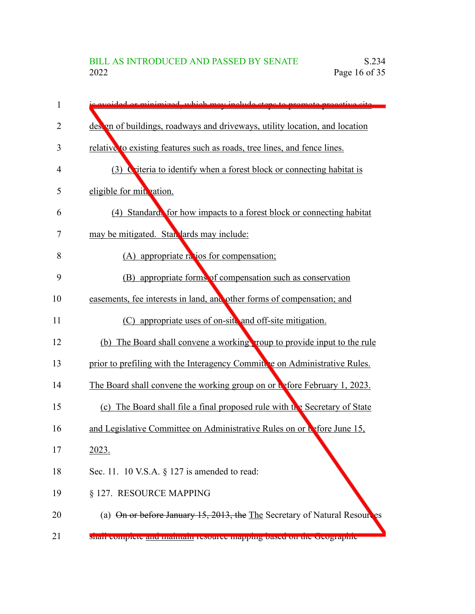| 1  | avoided or minimized, which may include steps to promote propertive site      |
|----|-------------------------------------------------------------------------------|
| 2  | des en of buildings, roadways and driveways, utility location, and location   |
| 3  | relative to existing features such as roads, tree lines, and fence lines.     |
| 4  | (3) Criteria to identify when a forest block or connecting habitat is         |
| 5  | eligible for mit vation.                                                      |
| 6  | (4) Standards for how impacts to a forest block or connecting habitat         |
| 7  | may be mitigated. Stan lards may include:                                     |
| 8  | (A) appropriate ratios for compensation;                                      |
| 9  | (B) appropriate forms of compensation such as conservation                    |
| 10 | easements, fee interests in land, and other forms of compensation; and        |
| 11 | (C) appropriate uses of on-site and off-site mitigation.                      |
| 12 | (b) The Board shall convene a working roup to provide input to the rule       |
| 13 | prior to prefiling with the Interagency Committee on Administrative Rules.    |
| 14 | The Board shall convene the working group on or before February 1, 2023.      |
| 15 | (c) The Board shall file a final proposed rule with the Secretary of State    |
| 16 | and Legislative Committee on Administrative Rules on or before June 15,       |
| 17 | <u>2023.</u>                                                                  |
| 18 | Sec. 11. 10 V.S.A. $\S$ 127 is amended to read:                               |
| 19 | § 127. RESOURCE MAPPING                                                       |
| 20 | (a) On or before January 15, 2013, the The Secretary of Natural Resoure<br>es |
| 21 | snan complete and manual resource mapping based on the deographic             |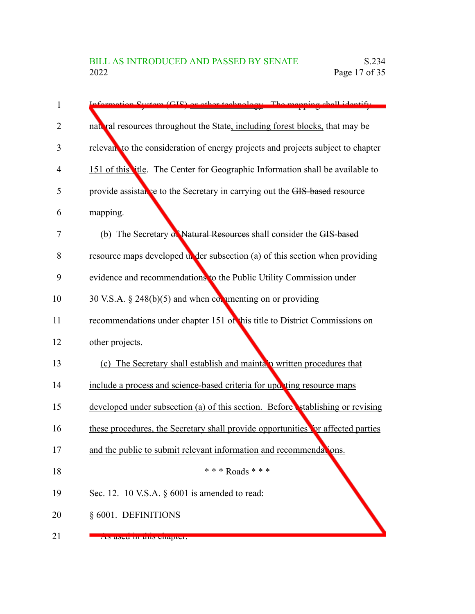| 1              | Information System (GIS) or other technology. The manning shall identify         |
|----------------|----------------------------------------------------------------------------------|
| $\overline{2}$ | naterial resources throughout the State, including forest blocks, that may be    |
| 3              | relevan to the consideration of energy projects and projects subject to chapter  |
| $\overline{4}$ | 151 of this title. The Center for Geographic Information shall be available to   |
| 5              | provide assistance to the Secretary in carrying out the GIS-based resource       |
| 6              | mapping.                                                                         |
| 7              | (b) The Secretary of Natural Resources shall consider the GIS-based              |
| 8              | resource maps developed under subsection (a) of this section when providing      |
| 9              | evidence and recommendations to the Public Utility Commission under              |
| 10             | 30 V.S.A. $\S$ 248(b)(5) and when commenting on or providing                     |
| 11             | recommendations under chapter 151 of this title to District Commissions on       |
| 12             | other projects.                                                                  |
| 13             | (c) The Secretary shall establish and mainta n written procedures that           |
| 14             | include a process and science-based criteria for upor ting resource maps         |
| 15             | developed under subsection (a) of this section. Before stablishing or revising   |
| 16             | these procedures, the Secretary shall provide opportunities for affected parties |
| 17             | and the public to submit relevant information and recommendations.               |
| 18             | *** Roads ***                                                                    |
| 19             | Sec. 12. 10 V.S.A. $\S$ 6001 is amended to read:                                 |
| 20             | § 6001. DEFINITIONS                                                              |
| 21             | As useu in uns chapter.                                                          |

As used in this chapter: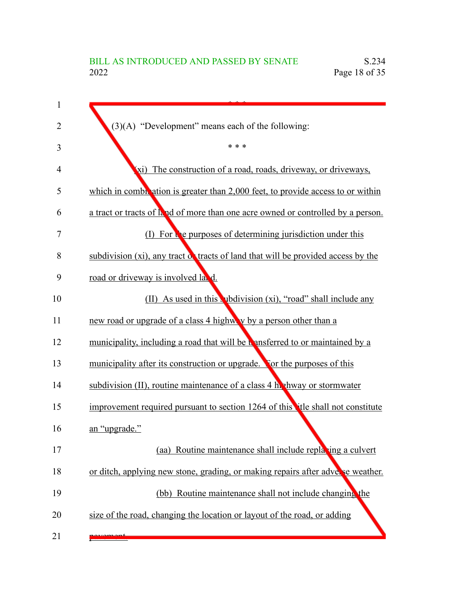| $(3)(A)$ "Development" means each of the following:                               |
|-----------------------------------------------------------------------------------|
| * * *                                                                             |
| (xi) The construction of a road, roads, driveway, or driveways,                   |
| which in combination is greater than 2,000 feet, to provide access to or within   |
| a tract or tracts of k ad of more than one acre owned or controlled by a person.  |
| (I) For the purposes of determining jurisdiction under this                       |
| subdivision (xi), any tract of tracts of land that will be provided access by the |
| road or driveway is involved land.                                                |
| (II) As used in this vibility using (xi), "road" shall include any                |
| new road or upgrade of a class 4 highway by a person other than a                 |
| municipality, including a road that will be unsferred to or maintained by a       |
| municipality after its construction or upgrade. For the purposes of this          |
| subdivision (II), routine maintenance of a class 4 h. hway or stormwater          |
| improvement required pursuant to section 1264 of this the shall not constitute    |
| an "upgrade."                                                                     |
| (aa) Routine maintenance shall include replating a culvert                        |
| or ditch, applying new stone, grading, or making repairs after adverse weather.   |
| (bb) Routine maintenance shall not include changing the                           |
| size of the road, changing the location or layout of the road, or adding          |
|                                                                                   |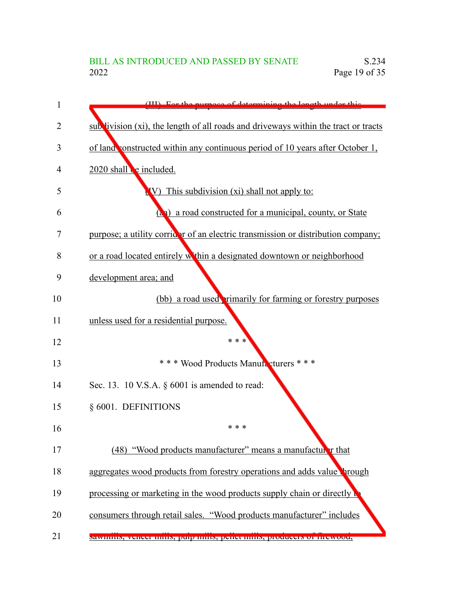| 1  | (III) For the purpose of determining the length under this                          |
|----|-------------------------------------------------------------------------------------|
| 2  | sub livision (xi), the length of all roads and driveways within the tract or tracts |
| 3  | of land constructed within any continuous period of 10 years after October 1,       |
| 4  | 2020 shall e included.                                                              |
| 5  | This subdivision (xi) shall not apply to:<br>$\bf W$                                |
| 6  | (a) a road constructed for a municipal, county, or State                            |
| 7  | purpose; a utility corridar of an electric transmission or distribution company;    |
| 8  | or a road located entirely within a designated downtown or neighborhood             |
| 9  | development area; and                                                               |
| 10 | (bb) a road used rimarily for farming or forestry purposes                          |
| 11 | unless used for a residential purpose.                                              |
| 12 | * * *                                                                               |
| 13 | * * * Wood Products Manufacturers * * *                                             |
| 14 | Sec. 13. 10 V.S.A. § 6001 is amended to read:                                       |
| 15 | § 6001. DEFINITIONS                                                                 |
| 16 | * * *                                                                               |
| 17 | (48) "Wood products manufacturer" means a manufacturer that                         |
| 18 | aggregates wood products from forestry operations and adds value brough             |
| 19 | processing or marketing in the wood products supply chain or directly to            |
| 20 | consumers through retail sales. "Wood products manufacturer" includes               |
| 21 | sawinnis, veneer minis, puip minis, pener minis, producers of mewood,               |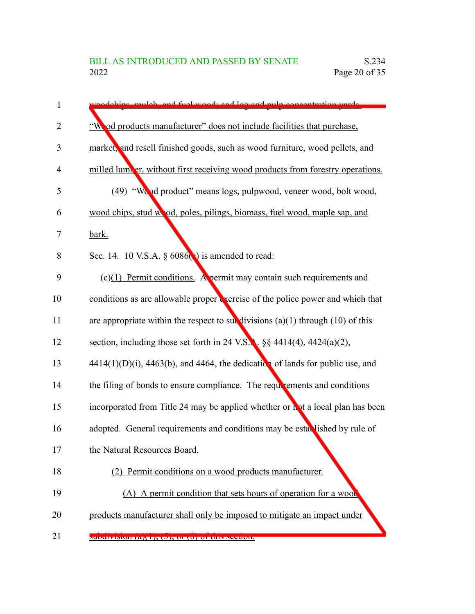| $\mathbf{1}$   | adabine mulab and fual waad, and lag and pulp concentration varde                      |
|----------------|----------------------------------------------------------------------------------------|
| $\overline{2}$ | "Wo od products manufacturer" does not include facilities that purchase,               |
| 3              | market, and resell finished goods, such as wood furniture, wood pellets, and           |
| 4              | milled lumeer, without first receiving wood products from forestry operations.         |
| 5              | (49) "Wood product" means logs, pulpwood, veneer wood, bolt wood,                      |
| 6              | wood chips, stud wood, poles, pilings, biomass, fuel wood, maple sap, and              |
| 7              | bark.                                                                                  |
| 8              | Sec. 14. 10 V.S.A. § 6086(c) is amended to read:                                       |
| 9              | $(c)(1)$ Permit conditions. A permit may contain such requirements and                 |
| 10             | conditions as are allowable proper vercise of the police power and which that          |
| 11             | are appropriate within the respect to subdivisions $(a)(1)$ through $(10)$ of this     |
| 12             | section, including those set forth in 24 V.S.A. $\S$ 4414(4), 4424(a)(2),              |
| 13             | $4414(1)(D)(i)$ , $4463(b)$ , and $4464$ , the dedication of lands for public use, and |
| 14             | the filing of bonds to ensure compliance. The requirements and conditions              |
| 15             | incorporated from Title 24 may be applied whether or not a local plan has been         |
| 16             | adopted. General requirements and conditions may be established by rule of             |
| 17             | the Natural Resources Board.                                                           |
| 18             | (2) Permit conditions on a wood products manufacturer.                                 |
| 19             | (A) A permit condition that sets hours of operation for a wood                         |
| 20             | products manufacturer shall only be imposed to mitigate an impact under                |
| 21             | $s$ uvurvision (a)(1), (2), or (o) or uns section.                                     |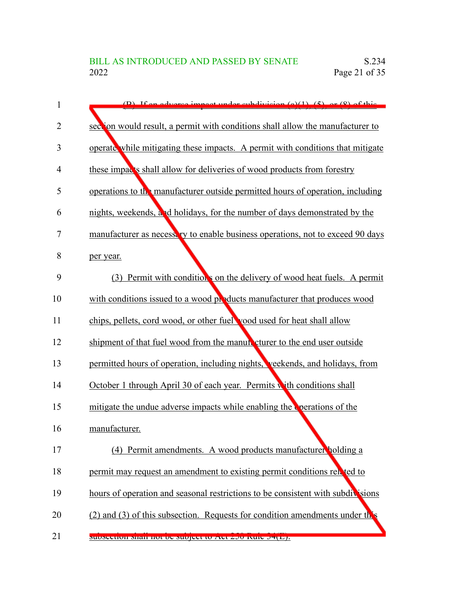| 1              | $(D)$ If an advance impact under subdivision $(a)(1)$ $(5)$ or $(8)$ of this     |
|----------------|----------------------------------------------------------------------------------|
| $\overline{2}$ | section would result, a permit with conditions shall allow the manufacturer to   |
| 3              | operate while mitigating these impacts. A permit with conditions that mitigate   |
| 4              | these impacts shall allow for deliveries of wood products from forestry          |
| 5              | operations to the manufacturer outside permitted hours of operation, including   |
| 6              | nights, weekends, and holidays, for the number of days demonstrated by the       |
| 7              | manufacturer as necessary to enable business operations, not to exceed 90 days   |
| 8              | per year.                                                                        |
| 9              | (3) Permit with conditions on the delivery of wood heat fuels. A permit          |
| 10             | with conditions issued to a wood products manufacturer that produces wood        |
| 11             | chips, pellets, cord wood, or other fuel yood used for heat shall allow          |
| 12             | shipment of that fuel wood from the manual cturer to the end user outside        |
| 13             | permitted hours of operation, including nights, veekends, and holidays, from     |
| 14             | October 1 through April 30 of each year. Permits with conditions shall           |
| 15             | mitigate the undue adverse impacts while enabling the verations of the           |
| 16             | manufacturer.                                                                    |
| 17             | (4) Permit amendments. A wood products manufacturer holding a                    |
| 18             | permit may request an amendment to existing permit conditions related to         |
| 19             | hours of operation and seasonal restrictions to be consistent with subdivisions  |
| 20             | $(2)$ and $(3)$ of this subsection. Requests for condition amendments under this |
| 21             | SUUSTUUDI SHAH HUU UU SUU CULIU TUU ZAU KUIU JENEPA                              |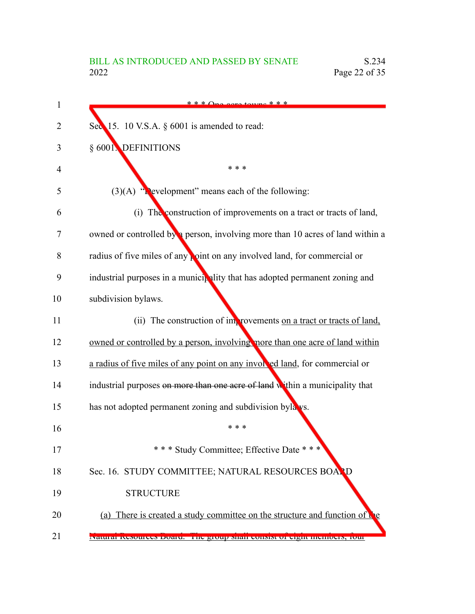| * * * $\bigcap_{n \geq 0} \{x \in \mathcal{X} \mid x \in \mathcal{X} \}$       |
|--------------------------------------------------------------------------------|
| Sec 15. 10 V.S.A. § 6001 is amended to read:                                   |
| § 6001 DEFINITIONS                                                             |
| * * *                                                                          |
| $(3)(A)$ "Nevelopment" means each of the following:                            |
| (i) The construction of improvements on a tract or tracts of land,             |
| owned or controlled by a person, involving more than 10 acres of land within a |
| radius of five miles of any point on any involved land, for commercial or      |
| industrial purposes in a municipality that has adopted permanent zoning and    |
| subdivision bylaws.                                                            |
| (ii) The construction of improvements on a tract or tracts of land,            |
| owned or controlled by a person, involving more than one acre of land within   |
| a radius of five miles of any point on any involved land, for commercial or    |
| industrial purposes on more than one acre of land within a municipality that   |
| has not adopted permanent zoning and subdivision byla vs.                      |
| * * *                                                                          |
| *** Study Committee; Effective Date ***                                        |
| Sec. 16. STUDY COMMITTEE; NATURAL RESOURCES BOARD                              |
| <b>STRUCTURE</b>                                                               |
| (a) There is created a study committee on the structure and function of        |
| raturar resources doard. The group shall consist of eight includers, rout      |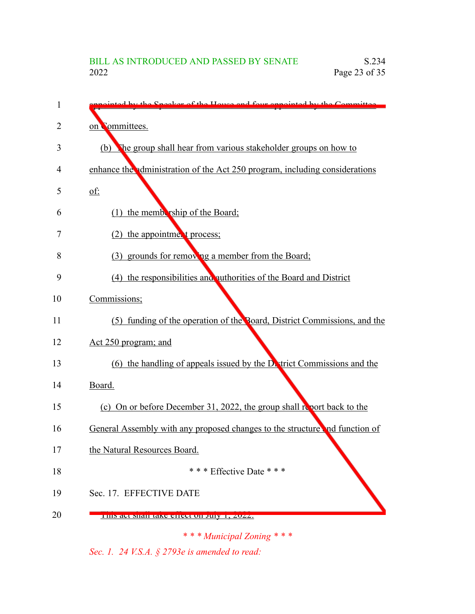| 1  | inted by the Speaker of the House and four eppointed by the Committee.             |
|----|------------------------------------------------------------------------------------|
| 2  | on Committees.                                                                     |
| 3  | The group shall hear from various stakeholder groups on how to<br>(b)              |
| 4  | enhance the administration of the Act 250 program, including considerations        |
| 5  | $\underline{\text{of}}$ :                                                          |
| 6  | (1) the membership of the Board;                                                   |
| 7  | (2) the appointment process;                                                       |
| 8  | (3) grounds for removing a member from the Board;                                  |
| 9  | (4) the responsibilities and authorities of the Board and District                 |
| 10 | Commissions;                                                                       |
| 11 | (5) funding of the operation of the Board, District Commissions, and the           |
| 12 | Act 250 program; and                                                               |
| 13 | (6) the handling of appeals issued by the $D_{\text{a}}$ trict Commissions and the |
| 14 | Board.                                                                             |
| 15 | (c) On or before December 31, 2022, the group shall report back to the             |
| 16 | General Assembly with any proposed changes to the structure and function of        |
| 17 | the Natural Resources Board.                                                       |
| 18 | * * * Effective Date * * *                                                         |
| 19 | Sec. 17. EFFECTIVE DATE                                                            |
| 20 | THIS act shall take effect on July 1, 2022.                                        |

*\* \* \* Municipal Zoning \* \* \**

*Sec. 1. 24 V.S.A. § 2793e is amended to read:*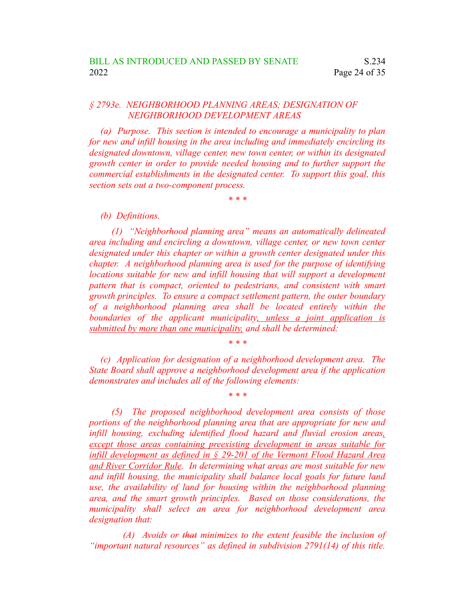## *§ 2793e. NEIGHBORHOOD PLANNING AREAS; DESIGNATION OF NEIGHBORHOOD DEVELOPMENT AREAS*

*(a) Purpose. This section is intended to encourage a municipality to plan for new and infill housing in the area including and immediately encircling its designated downtown, village center, new town center, or within its designated growth center in order to provide needed housing and to further support the commercial establishments in the designated center. To support this goal, this section sets out a two-component process.*

*\* \* \**

#### *(b) Definitions.*

*(1) "Neighborhood planning area" means an automatically delineated area including and encircling a downtown, village center, or new town center designated under this chapter or within a growth center designated under this chapter. A neighborhood planning area is used for the purpose of identifying locations suitable for new and infill housing that will support a development pattern that is compact, oriented to pedestrians, and consistent with smart growth principles. To ensure a compact settlement pattern, the outer boundary of a neighborhood planning area shall be located entirely within the boundaries of the applicant municipality, unless a joint application is submitted by more than one municipality, and shall be determined:*

*(c) Application for designation of a neighborhood development area. The State Board shall approve a neighborhood development area if the application demonstrates and includes all of the following elements:*

*\* \* \**

*\* \* \**

*(5) The proposed neighborhood development area consists of those portions of the neighborhood planning area that are appropriate for new and infill housing, excluding identified flood hazard and fluvial erosion areas, except those areas containing preexisting development in areas suitable for infill development as defined in § 29-201 of the Vermont Flood Hazard Area and River Corridor Rule. In determining what areas are most suitable for new and infill housing, the municipality shall balance local goals for future land use, the availability of land for housing within the neighborhood planning area, and the smart growth principles. Based on those considerations, the municipality shall select an area for neighborhood development area designation that:*

*(A) Avoids or that minimizes to the extent feasible the inclusion of "important natural resources" as defined in subdivision 2791(14) of this title.*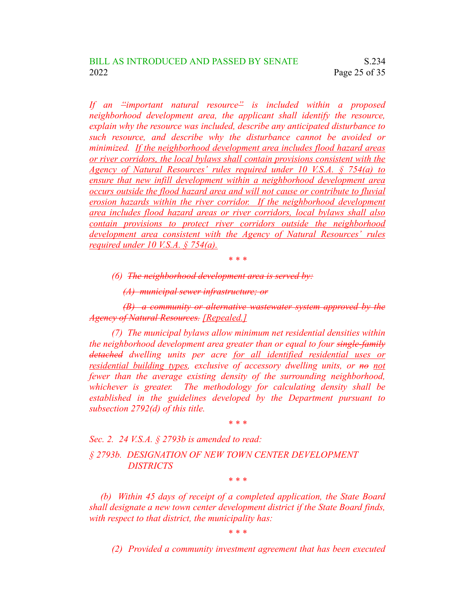*If an "important natural resource" is included within a proposed neighborhood development area, the applicant shall identify the resource, explain why the resource was included, describe any anticipated disturbance to such resource, and describe why the disturbance cannot be avoided or minimized. If the neighborhood development area includes flood hazard areas or river corridors, the local bylaws shall contain provisions consistent with the Agency of Natural Resources' rules required under 10 V.S.A. § 754(a) to ensure that new infill development within a neighborhood development area occurs outside the flood hazard area and will not cause or contribute to fluvial erosion hazards within the river corridor. If the neighborhood development area includes flood hazard areas or river corridors, local bylaws shall also contain provisions to protect river corridors outside the neighborhood development area consistent with the Agency of Natural Resources' rules required under 10 V.S.A. § 754(a).*

*\* \* \**

*(6) The neighborhood development area is served by:*

*(A) municipal sewer infrastructure; or*

*(B) a community or alternative wastewater system approved by the Agency of Natural Resources. [Repealed.]*

*(7) The municipal bylaws allow minimum net residential densities within the neighborhood development area greater than or equal to four single-family detached dwelling units per acre for all identified residential uses or residential building types, exclusive of accessory dwelling units, or no not fewer than the average existing density of the surrounding neighborhood, whichever is greater. The methodology for calculating density shall be established in the guidelines developed by the Department pursuant to subsection 2792(d) of this title.*

*\* \* \**

*Sec. 2. 24 V.S.A. § 2793b is amended to read:*

*§ 2793b. DESIGNATION OF NEW TOWN CENTER DEVELOPMENT DISTRICTS*

*\* \* \**

*(b) Within 45 days of receipt of a completed application, the State Board shall designate a new town center development district if the State Board finds, with respect to that district, the municipality has:*

*\* \* \**

*(2) Provided a community investment agreement that has been executed*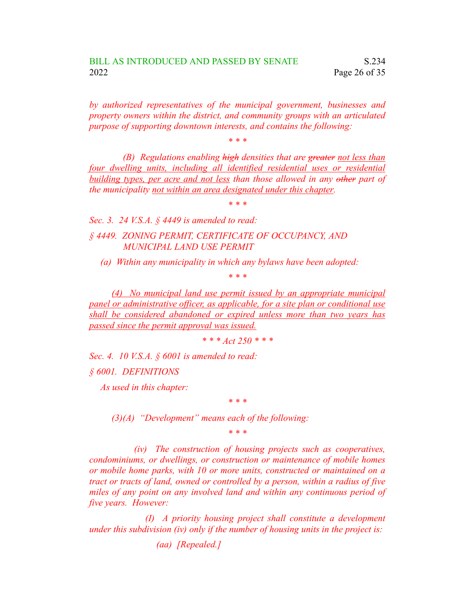*by authorized representatives of the municipal government, businesses and property owners within the district, and community groups with an articulated purpose of supporting downtown interests, and contains the following:*

*\* \* \**

*(B) Regulations enabling high densities that are greater not less than four dwelling units, including all identified residential uses or residential building types, per acre and not less than those allowed in any other part of the municipality not within an area designated under this chapter.*

*\* \* \**

*Sec. 3. 24 V.S.A. § 4449 is amended to read:*

*§ 4449. ZONING PERMIT, CERTIFICATE OF OCCUPANCY, AND MUNICIPAL LAND USE PERMIT*

*(a) Within any municipality in which any bylaws have been adopted:*

*\* \* \**

*(4) No municipal land use permit issued by an appropriate municipal panel or administrative officer, as applicable, for a site plan or conditional use shall be considered abandoned or expired unless more than two years has passed since the permit approval was issued.*

*\* \* \* Act 250 \* \* \**

*Sec. 4. 10 V.S.A. § 6001 is amended to read: § 6001. DEFINITIONS*

*As used in this chapter:*

*\* \* \**

*(3)(A) "Development" means each of the following:*

*\* \* \**

*(iv) The construction of housing projects such as cooperatives, condominiums, or dwellings, or construction or maintenance of mobile homes or mobile home parks, with 10 or more units, constructed or maintained on a tract or tracts of land, owned or controlled by a person, within a radius of five miles of any point on any involved land and within any continuous period of five years. However:*

*(I) A priority housing project shall constitute a development under this subdivision (iv) only if the number of housing units in the project is:*

*(aa) [Repealed.]*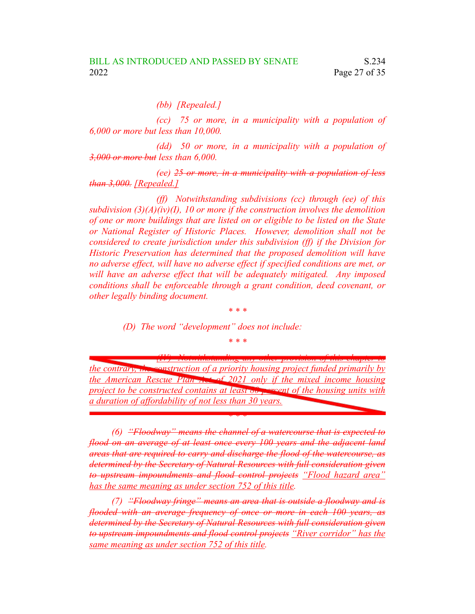*(bb) [Repealed.]*

*(cc) 75 or more, in a municipality with a population of 6,000 or more but less than 10,000.*

*(dd) 50 or more, in a municipality with a population of 3,000 or more but less than 6,000.*

*(ee) 25 or more, in a municipality with a population of less than 3,000. [Repealed.]*

*(ff) Notwithstanding subdivisions (cc) through (ee) of this subdivision (3)(A)(iv)(I), 10 or more if the construction involves the demolition of one or more buildings that are listed on or eligible to be listed on the State or National Register of Historic Places. However, demolition shall not be considered to create jurisdiction under this subdivision (ff) if the Division for Historic Preservation has determined that the proposed demolition will have no adverse effect, will have no adverse effect if specified conditions are met, or will have an adverse effect that will be adequately mitigated. Any imposed conditions shall be enforceable through a grant condition, deed covenant, or other legally binding document.*

*\* \* \**

*(D) The word "development" does not include:*

*\* \* \**

*(IV) Notwithstanding any other provision of this chapter to the contrary, the construction of a priority housing project funded primarily by the American Rescue Plan Act of 2021 only if the mixed income housing project to be constructed contains at least 80 percent of the housing units with a duration of affordability of not less than 30 years.*

*\* \* \**

*(6) "Floodway" means the channel of a watercourse that is expected to flood on an average of at least once every 100 years and the adjacent land areas that are required to carry and discharge the flood of the watercourse, as determined by the Secretary of Natural Resources with full consideration given to upstream impoundments and flood control projects "Flood hazard area" has the same meaning as under section 752 of this title.*

*(7) "Floodway fringe" means an area that is outside a floodway and is flooded with an average frequency of once or more in each 100 years, as determined by the Secretary of Natural Resources with full consideration given to upstream impoundments and flood control projects "River corridor" has the same meaning as under section 752 of this title.*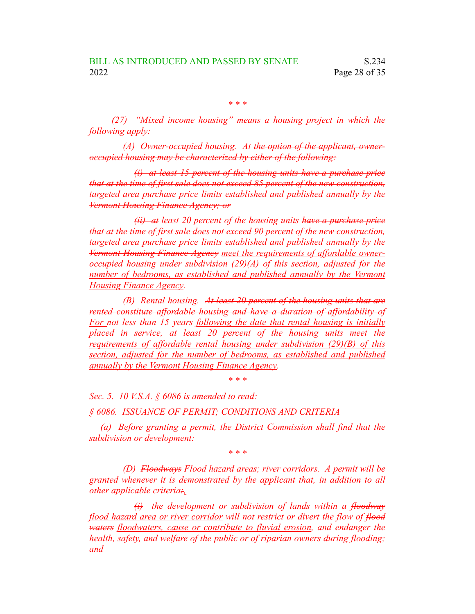*\* \* \**

*(27) "Mixed income housing" means a housing project in which the following apply:*

*(A) Owner-occupied housing. At the option of the applicant, owneroccupied housing may be characterized by either of the following:*

*(i) at least 15 percent of the housing units have a purchase price that at the time of first sale does not exceed 85 percent of the new construction, targeted area purchase price limits established and published annually by the Vermont Housing Finance Agency; or*

*(ii) at least 20 percent of the housing units have a purchase price that at the time of first sale does not exceed 90 percent of the new construction, targeted area purchase price limits established and published annually by the Vermont Housing Finance Agency meet the requirements of affordable owneroccupied housing under subdivision (29)(A) of this section, adjusted for the number of bedrooms, as established and published annually by the Vermont Housing Finance Agency.*

*(B) Rental housing. At least 20 percent of the housing units that are rented constitute affordable housing and have a duration of affordability of For not less than 15 years following the date that rental housing is initially placed in service, at least 20 percent of the housing units meet the requirements of affordable rental housing under subdivision (29)(B) of this section, adjusted for the number of bedrooms, as established and published annually by the Vermont Housing Finance Agency.*

*\* \* \**

*Sec. 5. 10 V.S.A. § 6086 is amended to read:*

*§ 6086. ISSUANCE OF PERMIT; CONDITIONS AND CRITERIA*

*(a) Before granting a permit, the District Commission shall find that the subdivision or development:*

*\* \* \**

*(D) Floodways Flood hazard areas; river corridors. A permit will be granted whenever it is demonstrated by the applicant that, in addition to all other applicable criteria:,*

*(i) the development or subdivision of lands within a floodway flood hazard area or river corridor will not restrict or divert the flow of flood waters floodwaters, cause or contribute to fluvial erosion, and endanger the health, safety, and welfare of the public or of riparian owners during flooding; and*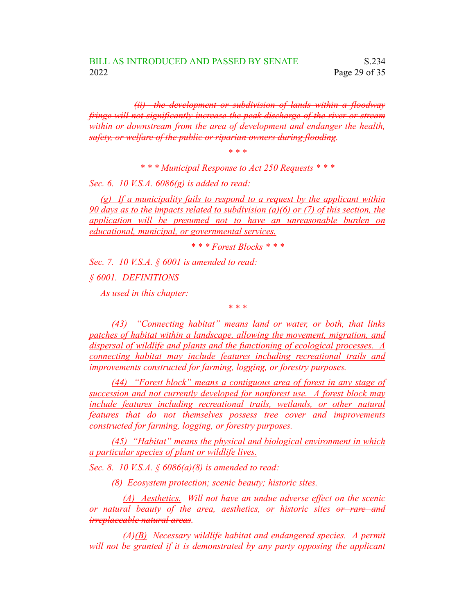*(ii) the development or subdivision of lands within a floodway fringe will not significantly increase the peak discharge of the river or stream within or downstream from the area of development and endanger the health, safety, or welfare of the public or riparian owners during flooding.*

*\* \* \**

*\* \* \* Municipal Response to Act 250 Requests \* \* \**

*Sec. 6. 10 V.S.A. 6086(g) is added to read:*

*(g) If a municipality fails to respond to a request by the applicant within 90 days as to the impacts related to subdivision (a)(6) or (7) of this section, the application will be presumed not to have an unreasonable burden on educational, municipal, or governmental services.*

*\* \* \* Forest Blocks \* \* \**

*Sec. 7. 10 V.S.A. § 6001 is amended to read:*

*§ 6001. DEFINITIONS*

*As used in this chapter:*

*\* \* \**

*(43) "Connecting habitat" means land or water, or both, that links patches of habitat within a landscape, allowing the movement, migration, and dispersal of wildlife and plants and the functioning of ecological processes. A connecting habitat may include features including recreational trails and improvements constructed for farming, logging, or forestry purposes.*

*(44) "Forest block" means a contiguous area of forest in any stage of succession and not currently developed for nonforest use. A forest block may include features including recreational trails, wetlands, or other natural features that do not themselves possess tree cover and improvements constructed for farming, logging, or forestry purposes.*

*(45) "Habitat" means the physical and biological environment in which a particular species of plant or wildlife lives.*

*Sec. 8. 10 V.S.A. § 6086(a)(8) is amended to read:*

*(8) Ecosystem protection; scenic beauty; historic sites.*

*(A) Aesthetics. Will not have an undue adverse effect on the scenic or natural beauty of the area, aesthetics, or historic sites or rare and irreplaceable natural areas.*

*(A)(B) Necessary wildlife habitat and endangered species. A permit will not be granted if it is demonstrated by any party opposing the applicant*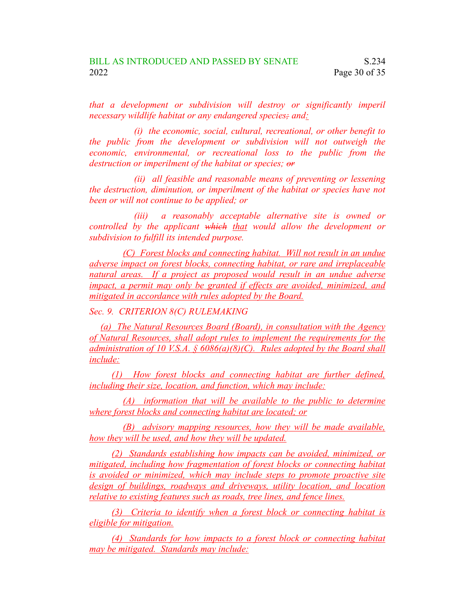*that a development or subdivision will destroy or significantly imperil necessary wildlife habitat or any endangered species; and:*

*(i) the economic, social, cultural, recreational, or other benefit to the public from the development or subdivision will not outweigh the economic, environmental, or recreational loss to the public from the destruction or imperilment of the habitat or species; or*

*(ii) all feasible and reasonable means of preventing or lessening the destruction, diminution, or imperilment of the habitat or species have not been or will not continue to be applied; or*

*(iii) a reasonably acceptable alternative site is owned or controlled by the applicant which that would allow the development or subdivision to fulfill its intended purpose.*

*(C) Forest blocks and connecting habitat. Will not result in an undue adverse impact on forest blocks, connecting habitat, or rare and irreplaceable natural areas. If a project as proposed would result in an undue adverse impact, a permit may only be granted if effects are avoided, minimized, and mitigated in accordance with rules adopted by the Board.*

*Sec. 9. CRITERION 8(C) RULEMAKING*

*(a) The Natural Resources Board (Board), in consultation with the Agency of Natural Resources, shall adopt rules to implement the requirements for the administration of 10 V.S.A. § 6086(a)(8)(C). Rules adopted by the Board shall include:*

*(1) How forest blocks and connecting habitat are further defined, including their size, location, and function, which may include:*

*(A) information that will be available to the public to determine where forest blocks and connecting habitat are located; or*

*(B) advisory mapping resources, how they will be made available, how they will be used, and how they will be updated.*

*(2) Standards establishing how impacts can be avoided, minimized, or mitigated, including how fragmentation of forest blocks or connecting habitat is avoided or minimized, which may include steps to promote proactive site design of buildings, roadways and driveways, utility location, and location relative to existing features such as roads, tree lines, and fence lines.*

*(3) Criteria to identify when a forest block or connecting habitat is eligible for mitigation.*

*(4) Standards for how impacts to a forest block or connecting habitat may be mitigated. Standards may include:*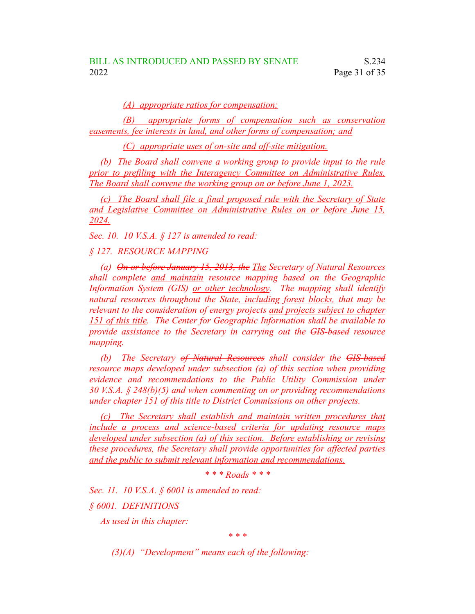*(A) appropriate ratios for compensation;*

*(B) appropriate forms of compensation such as conservation easements, fee interests in land, and other forms of compensation; and*

*(C) appropriate uses of on-site and off-site mitigation.*

*(b) The Board shall convene a working group to provide input to the rule prior to prefiling with the Interagency Committee on Administrative Rules. The Board shall convene the working group on or before June 1, 2023.*

*(c) The Board shall file a final proposed rule with the Secretary of State and Legislative Committee on Administrative Rules on or before June 15, 2024.*

*Sec. 10. 10 V.S.A. § 127 is amended to read:*

*§ 127. RESOURCE MAPPING*

*(a) On or before January 15, 2013, the The Secretary of Natural Resources shall complete and maintain resource mapping based on the Geographic Information System (GIS) or other technology. The mapping shall identify natural resources throughout the State, including forest blocks, that may be relevant to the consideration of energy projects and projects subject to chapter 151 of this title. The Center for Geographic Information shall be available to provide assistance to the Secretary in carrying out the GIS-based resource mapping.*

*(b) The Secretary of Natural Resources shall consider the GIS-based resource maps developed under subsection (a) of this section when providing evidence and recommendations to the Public Utility Commission under 30 V.S.A. § 248(b)(5) and when commenting on or providing recommendations under chapter 151 of this title to District Commissions on other projects.*

*(c) The Secretary shall establish and maintain written procedures that include a process and science-based criteria for updating resource maps developed under subsection (a) of this section. Before establishing or revising these procedures, the Secretary shall provide opportunities for affected parties and the public to submit relevant information and recommendations.*

*\* \* \* Roads \* \* \**

*Sec. 11. 10 V.S.A. § 6001 is amended to read: § 6001. DEFINITIONS*

*As used in this chapter:*

*\* \* \**

*(3)(A) "Development" means each of the following:*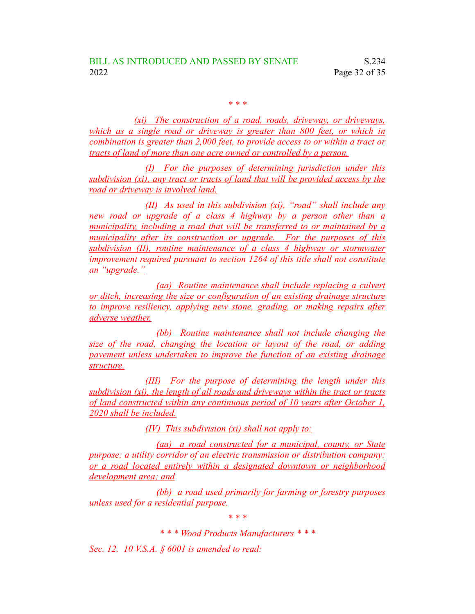*\* \* \**

*(xi) The construction of a road, roads, driveway, or driveways, which as a single road or driveway is greater than 800 feet, or which in combination is greater than 2,000 feet, to provide access to or within a tract or tracts of land of more than one acre owned or controlled by a person.*

*(I) For the purposes of determining jurisdiction under this subdivision (xi), any tract or tracts of land that will be provided access by the road or driveway is involved land.*

*(II) As used in this subdivision (xi), "road" shall include any new road or upgrade of a class 4 highway by a person other than a municipality, including a road that will be transferred to or maintained by a municipality after its construction or upgrade. For the purposes of this subdivision (II), routine maintenance of a class 4 highway or stormwater improvement required pursuant to section 1264 of this title shall not constitute an "upgrade."*

*(aa) Routine maintenance shall include replacing a culvert or ditch, increasing the size or configuration of an existing drainage structure to improve resiliency, applying new stone, grading, or making repairs after adverse weather.*

*(bb) Routine maintenance shall not include changing the size of the road, changing the location or layout of the road, or adding pavement unless undertaken to improve the function of an existing drainage structure.*

*(III) For the purpose of determining the length under this subdivision (xi), the length of all roads and driveways within the tract or tracts of land constructed within any continuous period of 10 years after October 1, 2020 shall be included.*

*(IV) This subdivision (xi) shall not apply to:*

*(aa) a road constructed for a municipal, county, or State purpose; a utility corridor of an electric transmission or distribution company; or a road located entirely within a designated downtown or neighborhood development area; and*

*(bb) a road used primarily for farming or forestry purposes unless used for a residential purpose.*

*\* \* \**

*\* \* \* Wood Products Manufacturers \* \* \**

*Sec. 12. 10 V.S.A. § 6001 is amended to read:*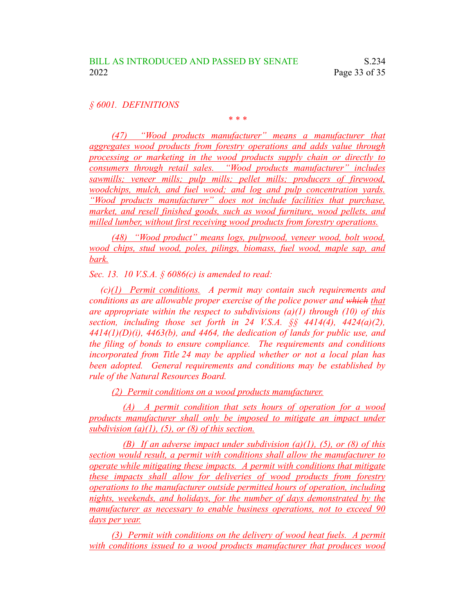*§ 6001. DEFINITIONS*

*\* \* \**

*(47) "Wood products manufacturer" means a manufacturer that aggregates wood products from forestry operations and adds value through processing or marketing in the wood products supply chain or directly to consumers through retail sales. "Wood products manufacturer" includes sawmills; veneer mills; pulp mills; pellet mills; producers of firewood, woodchips, mulch, and fuel wood; and log and pulp concentration yards. "Wood products manufacturer" does not include facilities that purchase, market, and resell finished goods, such as wood furniture, wood pellets, and milled lumber, without first receiving wood products from forestry operations.*

*(48) "Wood product" means logs, pulpwood, veneer wood, bolt wood, wood chips, stud wood, poles, pilings, biomass, fuel wood, maple sap, and bark.*

*Sec. 13. 10 V.S.A. § 6086(c) is amended to read:*

*(c)(1) Permit conditions. A permit may contain such requirements and conditions as are allowable proper exercise of the police power and which that are appropriate within the respect to subdivisions (a)(1) through (10) of this section, including those set forth in 24 V.S.A. §§ 4414(4), 4424(a)(2), 4414(1)(D)(i), 4463(b), and 4464, the dedication of lands for public use, and the filing of bonds to ensure compliance. The requirements and conditions incorporated from Title 24 may be applied whether or not a local plan has been adopted. General requirements and conditions may be established by rule of the Natural Resources Board.*

*(2) Permit conditions on a wood products manufacturer.*

*(A) A permit condition that sets hours of operation for a wood products manufacturer shall only be imposed to mitigate an impact under subdivision*  $(a)(1)$ ,  $(5)$ , *or*  $(8)$  *of this section.* 

*(B) If an adverse impact under subdivision (a)(1), (5), or (8) of this section would result, a permit with conditions shall allow the manufacturer to operate while mitigating these impacts. A permit with conditions that mitigate these impacts shall allow for deliveries of wood products from forestry operations to the manufacturer outside permitted hours of operation, including nights, weekends, and holidays, for the number of days demonstrated by the manufacturer as necessary to enable business operations, not to exceed 90 days per year.*

*(3) Permit with conditions on the delivery of wood heat fuels. A permit with conditions issued to a wood products manufacturer that produces wood*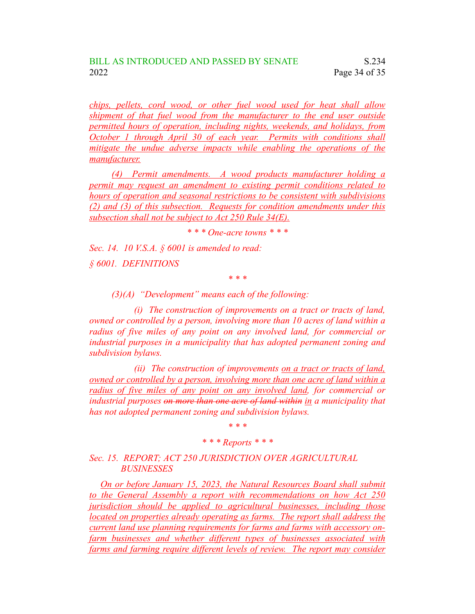*chips, pellets, cord wood, or other fuel wood used for heat shall allow shipment of that fuel wood from the manufacturer to the end user outside permitted hours of operation, including nights, weekends, and holidays, from October 1 through April 30 of each year. Permits with conditions shall mitigate the undue adverse impacts while enabling the operations of the manufacturer.*

*(4) Permit amendments. A wood products manufacturer holding a permit may request an amendment to existing permit conditions related to hours of operation and seasonal restrictions to be consistent with subdivisions (2) and (3) of this subsection. Requests for condition amendments under this subsection shall not be subject to Act 250 Rule 34(E).*

*\* \* \* One-acre towns \* \* \**

*Sec. 14. 10 V.S.A. § 6001 is amended to read:*

*§ 6001. DEFINITIONS*

*\* \* \**

*(3)(A) "Development" means each of the following:*

*(i) The construction of improvements on a tract or tracts of land, owned or controlled by a person, involving more than 10 acres of land within a radius of five miles of any point on any involved land, for commercial or industrial purposes in a municipality that has adopted permanent zoning and subdivision bylaws.*

*(ii) The construction of improvements on a tract or tracts of land, owned or controlled by a person, involving more than one acre of land within a radius of five miles of any point on any involved land, for commercial or industrial purposes on more than one acre of land within in a municipality that has not adopted permanent zoning and subdivision bylaws.*

*\* \* \**

### *\* \* \* Reports \* \* \**

## *Sec. 15. REPORT; ACT 250 JURISDICTION OVER AGRICULTURAL BUSINESSES*

*On or before January 15, 2023, the Natural Resources Board shall submit to the General Assembly a report with recommendations on how Act 250 jurisdiction should be applied to agricultural businesses, including those located on properties already operating as farms. The report shall address the current land use planning requirements for farms and farms with accessory onfarm businesses and whether different types of businesses associated with farms and farming require different levels of review. The report may consider*